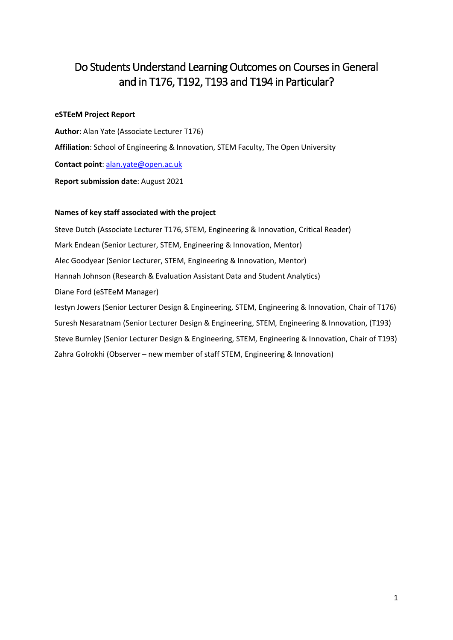# Do Students Understand Learning Outcomes on Courses in General and in T176, T192, T193 and T194 in Particular?

#### **eSTEeM Project Report**

**Author**: Alan Yate (Associate Lecturer T176) **Affiliation**: School of Engineering & Innovation, STEM Faculty, The Open University **Contact point**: [alan.yate@open.ac.uk](mailto:alan.yate@open.ac.uk) **Report submission date**: August 2021

#### **Names of key staff associated with the project**

Steve Dutch (Associate Lecturer T176, STEM, Engineering & Innovation, Critical Reader) Mark Endean (Senior Lecturer, STEM, Engineering & Innovation, Mentor) Alec Goodyear (Senior Lecturer, STEM, Engineering & Innovation, Mentor) Hannah Johnson (Research & Evaluation Assistant Data and Student Analytics) Diane Ford (eSTEeM Manager) Iestyn Jowers (Senior Lecturer Design & Engineering, STEM, Engineering & Innovation, Chair of T176) Suresh Nesaratnam (Senior Lecturer Design & Engineering, STEM, Engineering & Innovation, (T193) Steve Burnley (Senior Lecturer Design & Engineering, STEM, Engineering & Innovation, Chair of T193) Zahra Golrokhi (Observer – new member of staff STEM, Engineering & Innovation)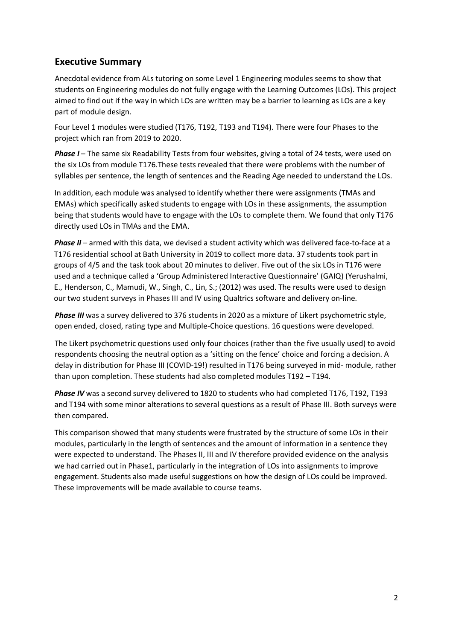# **Executive Summary**

Anecdotal evidence from ALs tutoring on some Level 1 Engineering modules seems to show that students on Engineering modules do not fully engage with the Learning Outcomes (LOs). This project aimed to find out if the way in which LOs are written may be a barrier to learning as LOs are a key part of module design.

Four Level 1 modules were studied (T176, T192, T193 and T194). There were four Phases to the project which ran from 2019 to 2020.

**Phase I** – The same six Readability Tests from four websites, giving a total of 24 tests, were used on the six LOs from module T176.These tests revealed that there were problems with the number of syllables per sentence, the length of sentences and the Reading Age needed to understand the LOs.

In addition, each module was analysed to identify whether there were assignments (TMAs and EMAs) which specifically asked students to engage with LOs in these assignments, the assumption being that students would have to engage with the LOs to complete them. We found that only T176 directly used LOs in TMAs and the EMA.

*Phase II* – armed with this data, we devised a student activity which was delivered face-to-face at a T176 residential school at Bath University in 2019 to collect more data. 37 students took part in groups of 4/5 and the task took about 20 minutes to deliver. Five out of the six LOs in T176 were used and a technique called a 'Group Administered Interactive Questionnaire' (GAIQ) (Yerushalmi, E., Henderson, C., Mamudi, W., Singh, C., Lin, S.; (2012) was used. The results were used to design our two student surveys in Phases III and IV using Qualtrics software and delivery on-line.

*Phase III* was a survey delivered to 376 students in 2020 as a mixture of Likert psychometric style, open ended, closed, rating type and Multiple-Choice questions. 16 questions were developed.

The Likert psychometric questions used only four choices (rather than the five usually used) to avoid respondents choosing the neutral option as a 'sitting on the fence' choice and forcing a decision. A delay in distribution for Phase III (COVID-19!) resulted in T176 being surveyed in mid- module, rather than upon completion. These students had also completed modules T192 – T194.

*Phase IV* was a second survey delivered to 1820 to students who had completed T176, T192, T193 and T194 with some minor alterations to several questions as a result of Phase III. Both surveys were then compared.

This comparison showed that many students were frustrated by the structure of some LOs in their modules, particularly in the length of sentences and the amount of information in a sentence they were expected to understand. The Phases II, III and IV therefore provided evidence on the analysis we had carried out in Phase1, particularly in the integration of LOs into assignments to improve engagement. Students also made useful suggestions on how the design of LOs could be improved. These improvements will be made available to course teams.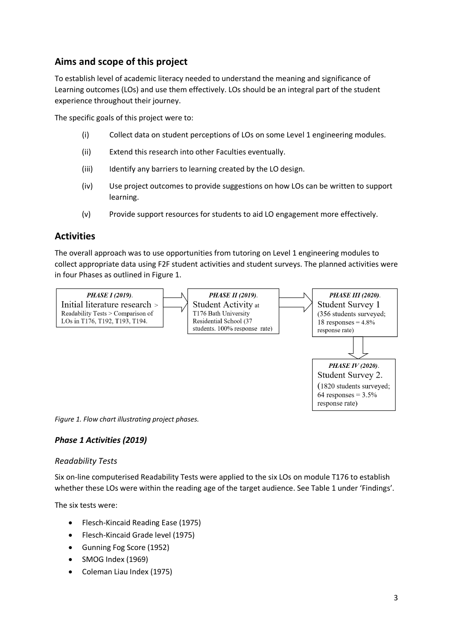# **Aims and scope of this project**

To establish level of academic literacy needed to understand the meaning and significance of Learning outcomes (LOs) and use them effectively. LOs should be an integral part of the student experience throughout their journey.

The specific goals of this project were to:

- (i) Collect data on student perceptions of LOs on some Level 1 engineering modules.
- (ii) Extend this research into other Faculties eventually.
- (iii) Identify any barriers to learning created by the LO design.
- (iv) Use project outcomes to provide suggestions on how LOs can be written to support learning.
- (v) Provide support resources for students to aid LO engagement more effectively.

### **Activities**

The overall approach was to use opportunities from tutoring on Level 1 engineering modules to collect appropriate data using F2F student activities and student surveys. The planned activities were in four Phases as outlined in Figure 1.



*Figure 1. Flow chart illustrating project phases.*

#### *Phase 1 Activities (2019)*

#### *Readability Tests*

Six on-line computerised Readability Tests were applied to the six LOs on module T176 to establish whether these LOs were within the reading age of the target audience. See Table 1 under 'Findings'.

The six tests were:

- Flesch-Kincaid Reading Ease (1975)
- Flesch-Kincaid Grade level (1975)
- Gunning Fog Score (1952)
- SMOG Index (1969)
- Coleman Liau Index (1975)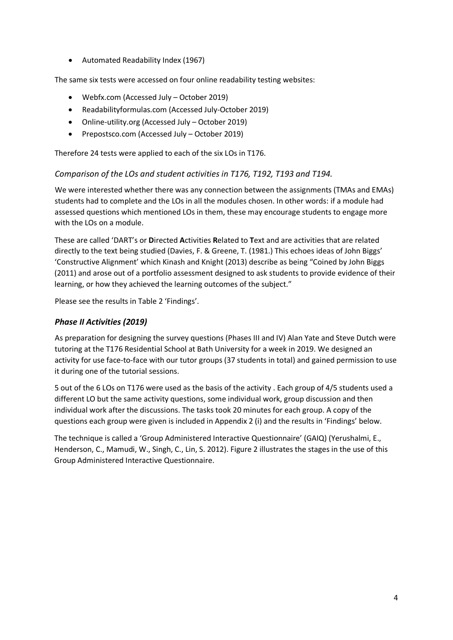• Automated Readability Index (1967)

The same six tests were accessed on four online readability testing websites:

- Webfx.com (Accessed July October 2019)
- Readabilityformulas.com (Accessed July-October 2019)
- Online-utility.org (Accessed July October 2019)
- Prepostsco.com (Accessed July October 2019)

Therefore 24 tests were applied to each of the six LOs in T176.

### *Comparison of the LOs and student activities in T176, T192, T193 and T194.*

We were interested whether there was any connection between the assignments (TMAs and EMAs) students had to complete and the LOs in all the modules chosen. In other words: if a module had assessed questions which mentioned LOs in them, these may encourage students to engage more with the LOs on a module.

These are called 'DART's or **D**irected **A**ctivities **R**elated to **T**ext and are activities that are related directly to the text being studied (Davies, F. & Greene, T. (1981.) This echoes ideas of John Biggs' 'Constructive Alignment' which Kinash and Knight (2013) describe as being "Coined by John Biggs (2011) and arose out of a portfolio assessment designed to ask students to provide evidence of their learning, or how they achieved the learning outcomes of the subject."

Please see the results in Table 2 'Findings'.

### *Phase II Activities (2019)*

As preparation for designing the survey questions (Phases III and IV) Alan Yate and Steve Dutch were tutoring at the T176 Residential School at Bath University for a week in 2019. We designed an activity for use face-to-face with our tutor groups (37 students in total) and gained permission to use it during one of the tutorial sessions.

5 out of the 6 LOs on T176 were used as the basis of the activity . Each group of 4/5 students used a different LO but the same activity questions, some individual work, group discussion and then individual work after the discussions. The tasks took 20 minutes for each group. A copy of the questions each group were given is included in Appendix 2 (i) and the results in 'Findings' below.

The technique is called a 'Group Administered Interactive Questionnaire' (GAIQ) (Yerushalmi, E., Henderson, C., Mamudi, W., Singh, C., Lin, S. 2012). Figure 2 illustrates the stages in the use of this Group Administered Interactive Questionnaire.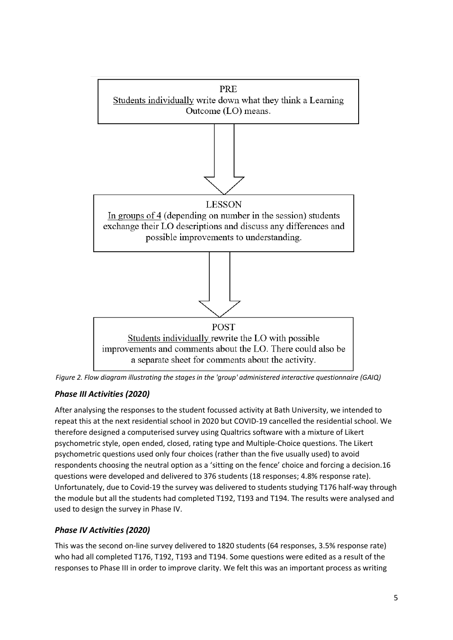

*Figure 2. Flow diagram illustrating the stages in the 'group' administered interactive questionnaire (GAIQ)*

## *Phase III Activities (2020)*

After analysing the responses to the student focussed activity at Bath University, we intended to repeat this at the next residential school in 2020 but COVID-19 cancelled the residential school. We therefore designed a computerised survey using Qualtrics software with a mixture of Likert psychometric style, open ended, closed, rating type and Multiple-Choice questions. The Likert psychometric questions used only four choices (rather than the five usually used) to avoid respondents choosing the neutral option as a 'sitting on the fence' choice and forcing a decision.16 questions were developed and delivered to 376 students (18 responses; 4.8% response rate). Unfortunately, due to Covid-19 the survey was delivered to students studying T176 half-way through the module but all the students had completed T192, T193 and T194. The results were analysed and used to design the survey in Phase IV.

## *Phase IV Activities (2020)*

This was the second on-line survey delivered to 1820 students (64 responses, 3.5% response rate) who had all completed T176, T192, T193 and T194. Some questions were edited as a result of the responses to Phase III in order to improve clarity. We felt this was an important process as writing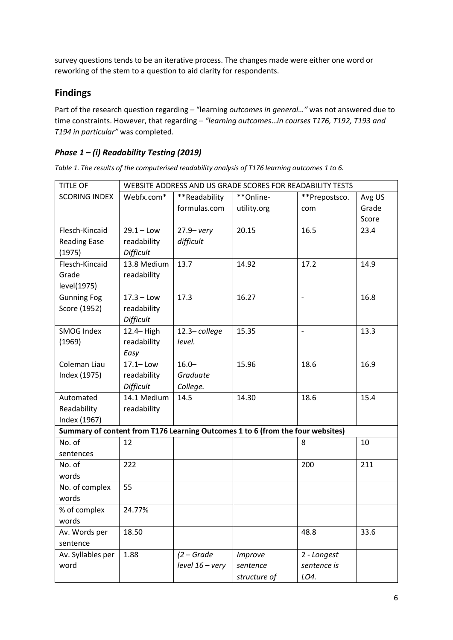survey questions tends to be an iterative process. The changes made were either one word or reworking of the stem to a question to aid clarity for respondents.

# **Findings**

Part of the research question regarding – "learning *outcomes in general…"* was not answered due to time constraints. However, that regarding – *"learning outcomes*…*in courses T176, T192, T193 and T194 in particular"* was completed.

## *Phase 1 – (i) Readability Testing (2019)*

*Table 1. The results of the computerised readability analysis of T176 learning outcomes 1 to 6.*

| <b>TITLE OF</b>      | WEBSITE ADDRESS AND US GRADE SCORES FOR READABILITY TESTS |                   |                                                                                |               |        |  |  |  |
|----------------------|-----------------------------------------------------------|-------------------|--------------------------------------------------------------------------------|---------------|--------|--|--|--|
| <b>SCORING INDEX</b> | Webfx.com*                                                | **Readability     | **Online-                                                                      | **Prepostsco. | Avg US |  |  |  |
|                      |                                                           | formulas.com      | utility.org                                                                    | com           | Grade  |  |  |  |
|                      |                                                           |                   |                                                                                |               | Score  |  |  |  |
| Flesch-Kincaid       | $29.1 - Low$                                              | $27.9 - very$     | 20.15                                                                          | 16.5          | 23.4   |  |  |  |
| <b>Reading Ease</b>  | readability                                               | difficult         |                                                                                |               |        |  |  |  |
| (1975)               | Difficult                                                 |                   |                                                                                |               |        |  |  |  |
| Flesch-Kincaid       | 13.8 Medium                                               | 13.7              | 14.92                                                                          | 17.2          | 14.9   |  |  |  |
| Grade                | readability                                               |                   |                                                                                |               |        |  |  |  |
| level(1975)          |                                                           |                   |                                                                                |               |        |  |  |  |
| <b>Gunning Fog</b>   | $17.3 -$ Low                                              | 17.3              | 16.27                                                                          |               | 16.8   |  |  |  |
| Score (1952)         | readability                                               |                   |                                                                                |               |        |  |  |  |
|                      | Difficult                                                 |                   |                                                                                |               |        |  |  |  |
| SMOG Index           | 12.4-High                                                 | 12.3-college      | 15.35                                                                          | $\frac{1}{2}$ | 13.3   |  |  |  |
| (1969)               | readability                                               | level.            |                                                                                |               |        |  |  |  |
|                      | Easy                                                      |                   |                                                                                |               |        |  |  |  |
| Coleman Liau         | $17.1 -$ Low                                              | $16.0 -$          | 15.96                                                                          | 18.6          | 16.9   |  |  |  |
| Index (1975)         | readability                                               | Graduate          |                                                                                |               |        |  |  |  |
|                      | Difficult                                                 | College.          |                                                                                |               |        |  |  |  |
| Automated            | 14.1 Medium                                               | 14.5              | 14.30                                                                          | 18.6          | 15.4   |  |  |  |
| Readability          | readability                                               |                   |                                                                                |               |        |  |  |  |
| Index (1967)         |                                                           |                   |                                                                                |               |        |  |  |  |
|                      |                                                           |                   | Summary of content from T176 Learning Outcomes 1 to 6 (from the four websites) |               |        |  |  |  |
| No. of               | 12                                                        |                   |                                                                                | 8             | 10     |  |  |  |
| sentences            |                                                           |                   |                                                                                |               |        |  |  |  |
| No. of               | 222                                                       |                   |                                                                                | 200           | 211    |  |  |  |
| words                |                                                           |                   |                                                                                |               |        |  |  |  |
| No. of complex       | 55                                                        |                   |                                                                                |               |        |  |  |  |
| words                |                                                           |                   |                                                                                |               |        |  |  |  |
| % of complex         | 24.77%                                                    |                   |                                                                                |               |        |  |  |  |
| words                |                                                           |                   |                                                                                |               |        |  |  |  |
| Av. Words per        | 18.50                                                     |                   |                                                                                | 48.8          | 33.6   |  |  |  |
| sentence             |                                                           |                   |                                                                                |               |        |  |  |  |
| Av. Syllables per    | 1.88                                                      | $(2 - Grade$      | Improve                                                                        | 2 - Longest   |        |  |  |  |
| word                 |                                                           | $level 16 - very$ | sentence                                                                       | sentence is   |        |  |  |  |
|                      |                                                           |                   | structure of                                                                   | LO4.          |        |  |  |  |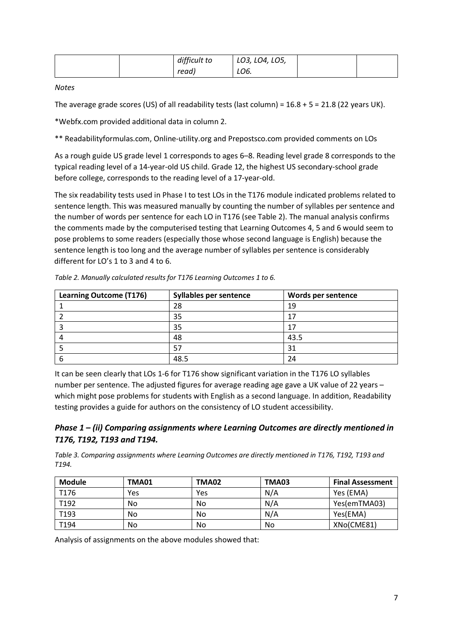|  | difficult to | LO3, LO4, LO5, |  |
|--|--------------|----------------|--|
|  | read)        | LO6.           |  |

*Notes*

The average grade scores (US) of all readability tests (last column) =  $16.8 + 5 = 21.8$  (22 years UK).

\*Webfx.com provided additional data in column 2.

\*\* Readabilityformulas.com, Online-utility.org and Prepostsco.com provided comments on LOs

As a rough guide US grade level 1 corresponds to ages 6–8. Reading level grade 8 corresponds to the typical reading level of a 14-year-old US child. Grade 12, the highest US secondary-school grade before college, corresponds to the reading level of a 17-year-old.

The six readability tests used in Phase I to test LOs in the T176 module indicated problems related to sentence length. This was measured manually by counting the number of syllables per sentence and the number of words per sentence for each LO in T176 (see Table 2). The manual analysis confirms the comments made by the computerised testing that Learning Outcomes 4, 5 and 6 would seem to pose problems to some readers (especially those whose second language is English) because the sentence length is too long and the average number of syllables per sentence is considerably different for LO's 1 to 3 and 4 to 6.

| <b>Learning Outcome (T176)</b> | <b>Syllables per sentence</b> | Words per sentence |
|--------------------------------|-------------------------------|--------------------|
|                                | 28                            | 19                 |
|                                | 35                            | 17                 |
|                                | 35                            | 17                 |
|                                | 48                            | 43.5               |
|                                | 57                            | 31                 |
|                                | 48.5                          | 24                 |

*Table 2. Manually calculated results for T176 Learning Outcomes 1 to 6.*

It can be seen clearly that LOs 1-6 for T176 show significant variation in the T176 LO syllables number per sentence. The adjusted figures for average reading age gave a UK value of 22 years – which might pose problems for students with English as a second language. In addition, Readability testing provides a guide for authors on the consistency of LO student accessibility.

### *Phase 1 – (ii) Comparing assignments where Learning Outcomes are directly mentioned in T176, T192, T193 and T194.*

*Table 3. Comparing assignments where Learning Outcomes are directly mentioned in T176, T192, T193 and T194.*

| Module | TMA01 | TMA02 | TMA03 | <b>Final Assessment</b> |
|--------|-------|-------|-------|-------------------------|
| T176   | Yes   | Yes   | N/A   | Yes (EMA)               |
| T192   | No    | No    | N/A   | Yes(emTMA03)            |
| T193   | No    | No    | N/A   | Yes(EMA)                |
| T194   | No    | No    | No    | XNo(CME81)              |

Analysis of assignments on the above modules showed that: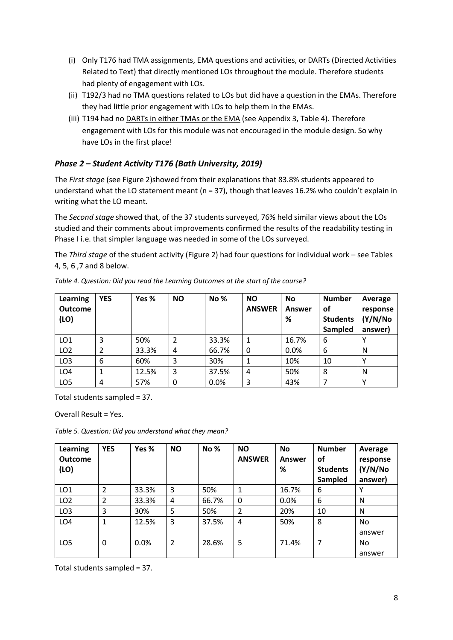- (i) Only T176 had TMA assignments, EMA questions and activities, or DARTs (Directed Activities Related to Text) that directly mentioned LOs throughout the module. Therefore students had plenty of engagement with LOs.
- (ii) T192/3 had no TMA questions related to LOs but did have a question in the EMAs. Therefore they had little prior engagement with LOs to help them in the EMAs.
- (iii) T194 had no DARTs in either TMAs or the EMA (see Appendix 3, Table 4). Therefore engagement with LOs for this module was not encouraged in the module design. So why have LOs in the first place!

### *Phase 2 – Student Activity T176 (Bath University, 2019)*

The *First stage* (see Figure 2)showed from their explanations that 83.8% students appeared to understand what the LO statement meant (n = 37), though that leaves 16.2% who couldn't explain in writing what the LO meant.

The *Second stage* showed that, of the 37 students surveyed, 76% held similar views about the LOs studied and their comments about improvements confirmed the results of the readability testing in Phase I i.e. that simpler language was needed in some of the LOs surveyed.

The *Third stage* of the student activity (Figure 2) had four questions for individual work – see Tables 4, 5, 6 ,7 and 8 below.

| Learning<br><b>Outcome</b><br>(LO) | <b>YES</b> | Yes % | <b>NO</b> | No %  | <b>NO</b><br><b>ANSWER</b> | <b>No</b><br>Answer<br>% | <b>Number</b><br>οf<br><b>Students</b><br>Sampled | Average<br>response<br>(Y/N/No<br>answer) |
|------------------------------------|------------|-------|-----------|-------|----------------------------|--------------------------|---------------------------------------------------|-------------------------------------------|
| LO <sub>1</sub>                    | 3          | 50%   | 2         | 33.3% |                            | 16.7%                    | 6                                                 |                                           |
| LO <sub>2</sub>                    | 2          | 33.3% | 4         | 66.7% | 0                          | 0.0%                     | 6                                                 | N                                         |
| LO <sub>3</sub>                    | 6          | 60%   | 3         | 30%   |                            | 10%                      | 10                                                |                                           |
| LO <sub>4</sub>                    | 1          | 12.5% | 3         | 37.5% | 4                          | 50%                      | 8                                                 | N                                         |
| LO <sub>5</sub>                    | 4          | 57%   | 0         | 0.0%  | 3                          | 43%                      | ᄀ                                                 | $\checkmark$                              |

*Table 4. Question: Did you read the Learning Outcomes at the start of the course?*

Total students sampled = 37.

Overall Result = Yes.

*Table 5. Question: Did you understand what they mean?*

| Learning<br><b>Outcome</b><br>(LO) | <b>YES</b>     | Yes % | <b>NO</b>      | No%   | <b>NO</b><br><b>ANSWER</b> | <b>No</b><br>Answer<br>% | <b>Number</b><br>οf<br><b>Students</b><br>Sampled | Average<br>response<br>(Y/N/No<br>answer) |
|------------------------------------|----------------|-------|----------------|-------|----------------------------|--------------------------|---------------------------------------------------|-------------------------------------------|
| LO <sub>1</sub>                    | 2              | 33.3% | 3              | 50%   | 1                          | 16.7%                    | 6                                                 | v                                         |
| LO <sub>2</sub>                    | $\overline{2}$ | 33.3% | 4              | 66.7% | 0                          | 0.0%                     | 6                                                 | N                                         |
| LO <sub>3</sub>                    | 3              | 30%   | 5              | 50%   | $\overline{2}$             | 20%                      | 10                                                | N                                         |
| LO <sub>4</sub>                    | 1              | 12.5% | 3              | 37.5% | $\overline{4}$             | 50%                      | 8                                                 | No<br>answer                              |
| LO <sub>5</sub>                    | 0              | 0.0%  | $\overline{2}$ | 28.6% | 5                          | 71.4%                    | 7                                                 | No<br>answer                              |

Total students sampled = 37.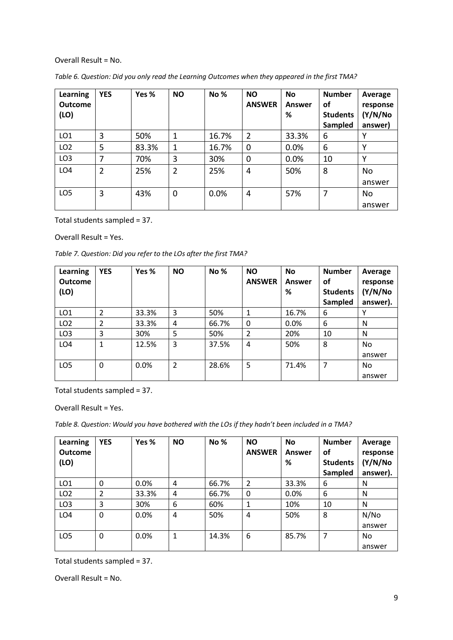#### Overall Result = No.

| Learning<br><b>Outcome</b><br>(LO) | <b>YES</b>     | Yes % | <b>NO</b>      | No %  | <b>NO</b><br><b>ANSWER</b> | <b>No</b><br>Answer<br>% | <b>Number</b><br>οf<br><b>Students</b><br>Sampled | Average<br>response<br>(Y/N/No<br>answer) |
|------------------------------------|----------------|-------|----------------|-------|----------------------------|--------------------------|---------------------------------------------------|-------------------------------------------|
| LO <sub>1</sub>                    | 3              | 50%   | $\mathbf{1}$   | 16.7% | $\overline{2}$             | 33.3%                    | 6                                                 | ۷                                         |
| LO <sub>2</sub>                    | 5              | 83.3% | $\mathbf{1}$   | 16.7% | $\mathbf 0$                | 0.0%                     | 6                                                 | Y                                         |
| LO <sub>3</sub>                    | 7              | 70%   | 3              | 30%   | $\mathbf 0$                | 0.0%                     | 10                                                | v                                         |
| LO <sub>4</sub>                    | $\overline{2}$ | 25%   | $\overline{2}$ | 25%   | 4                          | 50%                      | 8                                                 | No<br>answer                              |
| LO <sub>5</sub>                    | 3              | 43%   | 0              | 0.0%  | 4                          | 57%                      | 7                                                 | No<br>answer                              |

*Table 6. Question: Did you only read the Learning Outcomes when they appeared in the first TMA?*

Total students sampled = 37.

#### Overall Result = Yes.

*Table 7. Question: Did you refer to the LOs after the first TMA?*

| Learning<br><b>Outcome</b><br>(LO) | <b>YES</b> | Yes % | <b>NO</b>      | <b>No%</b> | <b>NO</b><br><b>ANSWER</b> | <b>No</b><br>Answer<br>% | <b>Number</b><br>οf<br><b>Students</b><br>Sampled | Average<br>response<br>(Y/N/No<br>answer). |
|------------------------------------|------------|-------|----------------|------------|----------------------------|--------------------------|---------------------------------------------------|--------------------------------------------|
| LO <sub>1</sub>                    | 2          | 33.3% | 3              | 50%        | 1                          | 16.7%                    | 6                                                 | v                                          |
| LO <sub>2</sub>                    | 2          | 33.3% | 4              | 66.7%      | 0                          | 0.0%                     | 6                                                 | N                                          |
| LO <sub>3</sub>                    | 3          | 30%   | 5              | 50%        | $\overline{2}$             | 20%                      | 10                                                | N                                          |
| LO <sub>4</sub>                    | 1          | 12.5% | 3              | 37.5%      | 4                          | 50%                      | 8                                                 | No.                                        |
|                                    |            |       |                |            |                            |                          |                                                   | answer                                     |
| LO <sub>5</sub>                    | 0          | 0.0%  | $\overline{2}$ | 28.6%      | 5                          | 71.4%                    | 7                                                 | No.                                        |
|                                    |            |       |                |            |                            |                          |                                                   | answer                                     |

Total students sampled = 37.

Overall Result = Yes.

*Table 8. Question: Would you have bothered with the LOs if they hadn't been included in a TMA?*

| <b>Learning</b><br><b>Outcome</b><br>(LO) | <b>YES</b> | Yes % | <b>NO</b> | <b>No%</b> | <b>NO</b><br><b>ANSWER</b> | <b>No</b><br>Answer<br>% | <b>Number</b><br>οf<br><b>Students</b><br>Sampled | Average<br>response<br>(Y/N/No<br>answer). |
|-------------------------------------------|------------|-------|-----------|------------|----------------------------|--------------------------|---------------------------------------------------|--------------------------------------------|
| LO <sub>1</sub>                           | 0          | 0.0%  | 4         | 66.7%      | 2                          | 33.3%                    | 6                                                 | N                                          |
| LO <sub>2</sub>                           | 2          | 33.3% | 4         | 66.7%      | 0                          | 0.0%                     | 6                                                 | N                                          |
| LO <sub>3</sub>                           | 3          | 30%   | 6         | 60%        |                            | 10%                      | 10                                                | N                                          |
| LO <sub>4</sub>                           | 0          | 0.0%  | 4         | 50%        | 4                          | 50%                      | 8                                                 | N/NO                                       |
|                                           |            |       |           |            |                            |                          |                                                   | answer                                     |
| LO <sub>5</sub>                           | 0          | 0.0%  | 1         | 14.3%      | 6                          | 85.7%                    | 7                                                 | No                                         |
|                                           |            |       |           |            |                            |                          |                                                   | answer                                     |

Total students sampled = 37.

Overall Result = No.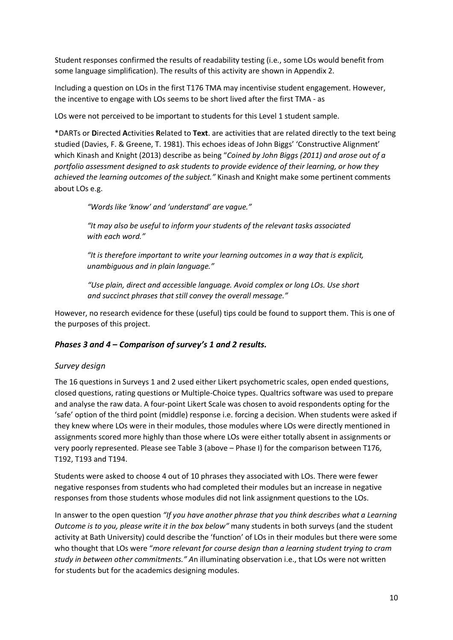Student responses confirmed the results of readability testing (i.e., some LOs would benefit from some language simplification). The results of this activity are shown in Appendix 2.

Including a question on LOs in the first T176 TMA may incentivise student engagement. However, the incentive to engage with LOs seems to be short lived after the first TMA - as

LOs were not perceived to be important to students for this Level 1 student sample.

\*DARTs or **D**irected **A**ctivities **R**elated to **Text**. are activities that are related directly to the text being studied (Davies, F. & Greene, T. 1981). This echoes ideas of John Biggs' 'Constructive Alignment' which Kinash and Knight (2013) describe as being "*Coined by John Biggs (2011) and arose out of a portfolio assessment designed to ask students to provide evidence of their learning, or how they achieved the learning outcomes of the subject."* Kinash and Knight make some pertinent comments about LOs e.g.

*"Words like 'know' and 'understand' are vague."*

*"It may also be useful to inform your students of the relevant tasks associated with each word."*

*"It is therefore important to write your learning outcomes in a way that is explicit, unambiguous and in plain language."*

*"Use plain, direct and accessible language. Avoid complex or long LOs. Use short and succinct phrases that still convey the overall message."*

However, no research evidence for these (useful) tips could be found to support them. This is one of the purposes of this project.

#### *Phases 3 and 4 – Comparison of survey's 1 and 2 results.*

#### *Survey design*

The 16 questions in Surveys 1 and 2 used either Likert psychometric scales, open ended questions, closed questions, rating questions or Multiple-Choice types. Qualtrics software was used to prepare and analyse the raw data. A four-point Likert Scale was chosen to avoid respondents opting for the 'safe' option of the third point (middle) response i.e. forcing a decision. When students were asked if they knew where LOs were in their modules, those modules where LOs were directly mentioned in assignments scored more highly than those where LOs were either totally absent in assignments or very poorly represented. Please see Table 3 (above – Phase I) for the comparison between T176, T192, T193 and T194.

Students were asked to choose 4 out of 10 phrases they associated with LOs. There were fewer negative responses from students who had completed their modules but an increase in negative responses from those students whose modules did not link assignment questions to the LOs.

In answer to the open question *"If you have another phrase that you think describes what a Learning Outcome is to you, please write it in the box below"* many students in both surveys (and the student activity at Bath University) could describe the 'function' of LOs in their modules but there were some who thought that LOs were "*more relevant for course design than a learning student trying to cram study in between other commitments." A*n illuminating observation i.e., that LOs were not written for students but for the academics designing modules.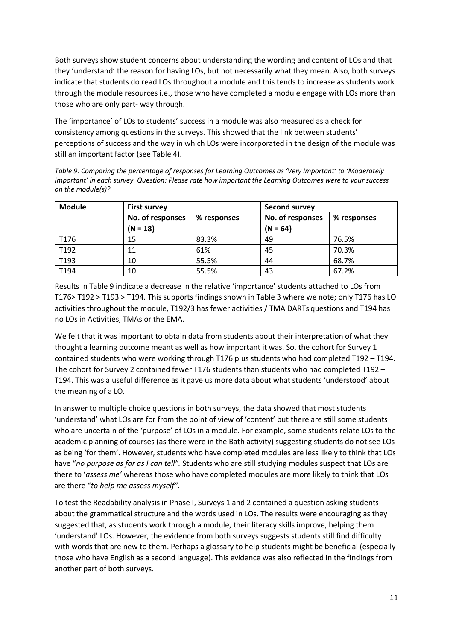Both surveys show student concerns about understanding the wording and content of LOs and that they 'understand' the reason for having LOs, but not necessarily what they mean. Also, both surveys indicate that students do read LOs throughout a module and this tends to increase as students work through the module resources i.e., those who have completed a module engage with LOs more than those who are only part- way through.

The 'importance' of LOs to students' success in a module was also measured as a check for consistency among questions in the surveys. This showed that the link between students' perceptions of success and the way in which LOs were incorporated in the design of the module was still an important factor (see Table 4).

*Table 9. Comparing the percentage of responses for Learning Outcomes as 'Very Important' to 'Moderately Important' in each survey. Question: Please rate how important the Learning Outcomes were to your success on the module(s)?*

| <b>Module</b> | <b>First survey</b> |             | <b>Second survey</b> |             |  |  |
|---------------|---------------------|-------------|----------------------|-------------|--|--|
|               | No. of responses    | % responses | No. of responses     | % responses |  |  |
|               | $(N = 18)$          |             | $(N = 64)$           |             |  |  |
| T176          | 15                  | 83.3%       | 49                   | 76.5%       |  |  |
| T192          | 11                  | 61%         | 45                   | 70.3%       |  |  |
| T193          | 10                  | 55.5%       | 44                   | 68.7%       |  |  |
| T194          | 10                  | 55.5%       | 43                   | 67.2%       |  |  |

Results in Table 9 indicate a decrease in the relative 'importance' students attached to LOs from T176> T192 > T193 > T194. This supports findings shown in Table 3 where we note; only T176 has LO activities throughout the module, T192/3 has fewer activities / TMA DARTs questions and T194 has no LOs in Activities, TMAs or the EMA.

We felt that it was important to obtain data from students about their interpretation of what they thought a learning outcome meant as well as how important it was. So, the cohort for Survey 1 contained students who were working through T176 plus students who had completed T192 – T194. The cohort for Survey 2 contained fewer T176 students than students who had completed T192 – T194. This was a useful difference as it gave us more data about what students 'understood' about the meaning of a LO.

In answer to multiple choice questions in both surveys, the data showed that most students 'understand' what LOs are for from the point of view of 'content' but there are still some students who are uncertain of the 'purpose' of LOs in a module. For example, some students relate LOs to the academic planning of courses (as there were in the Bath activity) suggesting students do not see LOs as being 'for them'. However, students who have completed modules are less likely to think that LOs have "*no purpose as far as I can tell".* Students who are still studying modules suspect that LOs are there to '*assess me'* whereas those who have completed modules are more likely to think that LOs are there "*to help me assess myself".*

To test the Readability analysis in Phase I, Surveys 1 and 2 contained a question asking students about the grammatical structure and the words used in LOs. The results were encouraging as they suggested that, as students work through a module, their literacy skills improve, helping them 'understand' LOs. However, the evidence from both surveys suggests students still find difficulty with words that are new to them. Perhaps a glossary to help students might be beneficial (especially those who have English as a second language). This evidence was also reflected in the findings from another part of both surveys.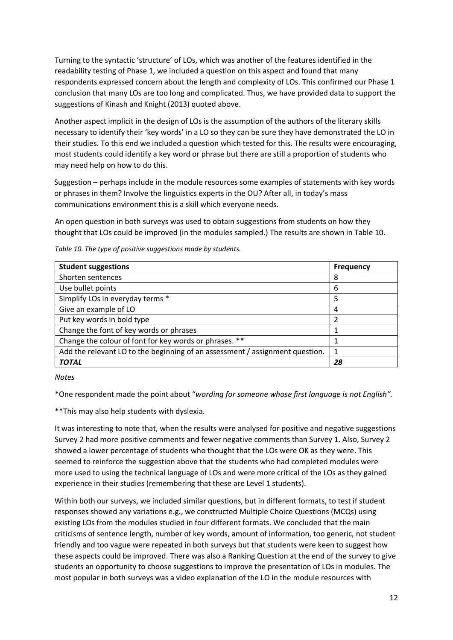Turning to the syntactic 'structure' of LOs, which was another of the features identified in the readability testing of Phase 1, we included a question on this aspect and found that many respondents expressed concern about the length and complexity of LOs. This confirmed our Phase 1 conclusion that many LOs are too long and complicated. Thus, we have provided data to support the suggestions of Kinash and Knight (2013) quoted above.

Another aspect implicit in the design of LOs is the assumption of the authors of the literary skills necessary to identify their 'key words' in a LO so they can be sure they have demonstrated the LO in their studies. To this end we included a question which tested for this. The results were encouraging, most students could identify a key word or phrase but there are still a proportion of students who may need help on how to do this.

Suggestion – perhaps include in the module resources some examples of statements with key words or phrases in them? Involve the linguistics experts in the OU? After all, in today's mass communications environment this is a skill which everyone needs.

An open question in both surveys was used to obtain suggestions from students on how they thought that LOs could be improved (in the modules sampled.) The results are shown in Table 10.

| <b>Student suggestions</b>                                                   | <b>Frequency</b> |
|------------------------------------------------------------------------------|------------------|
| Shorten sentences                                                            | 8                |
| Use bullet points                                                            | 6                |
| Simplify LOs in everyday terms *                                             | 5                |
| Give an example of LO                                                        | 4                |
| Put key words in bold type                                                   | 2                |
| Change the font of key words or phrases                                      |                  |
| Change the colour of font for key words or phrases. **                       |                  |
| Add the relevant LO to the beginning of an assessment / assignment question. | 1                |
| <b>TOTAL</b>                                                                 | 28               |

*Table 10. The type of positive suggestions made by students.*

#### *Notes*

\*One respondent made the point about "*wording for someone whose first language is not English".*

\*\*This may also help students with dyslexia.

It was interesting to note that, when the results were analysed for positive and negative suggestions Survey 2 had more positive comments and fewer negative comments than Survey 1. Also, Survey 2 showed a lower percentage of students who thought that the LOs were OK as they were. This seemed to reinforce the suggestion above that the students who had completed modules were more used to using the technical language of LOs and were more critical of the LOs as they gained experience in their studies (remembering that these are Level 1 students).

Within both our surveys, we included similar questions, but in different formats, to test if student responses showed any variations e.g., we constructed Multiple Choice Questions (MCQs) using existing LOs from the modules studied in four different formats. We concluded that the main criticisms of sentence length, number of key words, amount of information, too generic, not student friendly and too vague were repeated in both surveys but that students were keen to suggest how these aspects could be improved. There was also a Ranking Question at the end of the survey to give students an opportunity to choose suggestions to improve the presentation of LOs in modules. The most popular in both surveys was a video explanation of the LO in the module resources with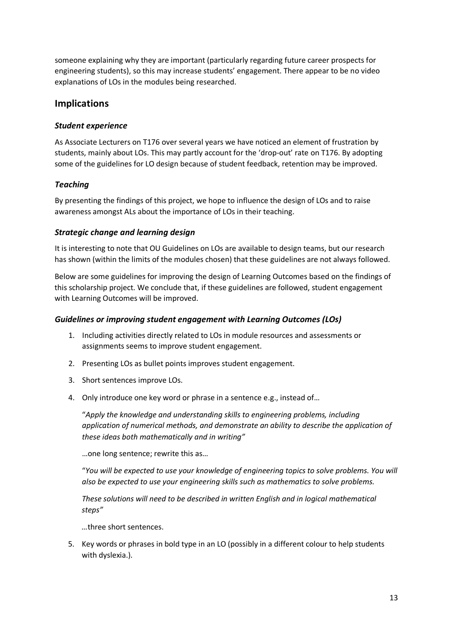someone explaining why they are important (particularly regarding future career prospects for engineering students), so this may increase students' engagement. There appear to be no video explanations of LOs in the modules being researched.

### **Implications**

### *Student experience*

As Associate Lecturers on T176 over several years we have noticed an element of frustration by students, mainly about LOs. This may partly account for the 'drop-out' rate on T176. By adopting some of the guidelines for LO design because of student feedback, retention may be improved.

### *Teaching*

By presenting the findings of this project, we hope to influence the design of LOs and to raise awareness amongst ALs about the importance of LOs in their teaching.

### *Strategic change and learning design*

It is interesting to note that OU Guidelines on LOs are available to design teams, but our research has shown (within the limits of the modules chosen) that these guidelines are not always followed.

Below are some guidelines for improving the design of Learning Outcomes based on the findings of this scholarship project. We conclude that, if these guidelines are followed, student engagement with Learning Outcomes will be improved.

#### *Guidelines or improving student engagement with Learning Outcomes (LOs)*

- 1. Including activities directly related to LOs in module resources and assessments or assignments seems to improve student engagement.
- 2. Presenting LOs as bullet points improves student engagement.
- 3. Short sentences improve LOs.
- 4. Only introduce one key word or phrase in a sentence e.g., instead of…

"*Apply the knowledge and understanding skills to engineering problems, including application of numerical methods, and demonstrate an ability to describe the application of these ideas both mathematically and in writing"*

…one long sentence; rewrite this as…

"*You will be expected to use your knowledge of engineering topics to solve problems. You will also be expected to use your engineering skills such as mathematics to solve problems.*

*These solutions will need to be described in written English and in logical mathematical steps"*

*…*three short sentences.

5. Key words or phrases in bold type in an LO (possibly in a different colour to help students with dyslexia.).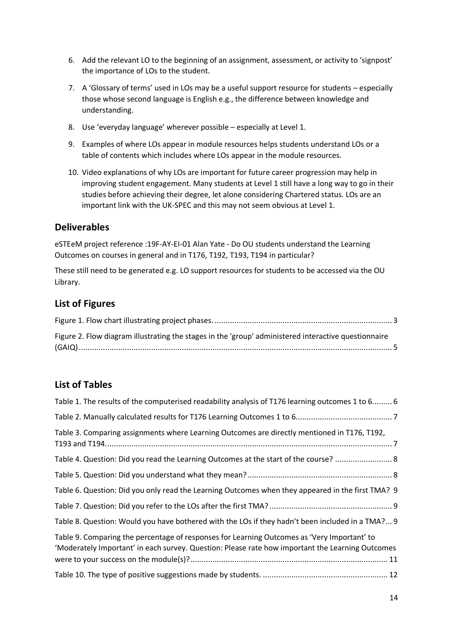- 6. Add the relevant LO to the beginning of an assignment, assessment, or activity to 'signpost' the importance of LOs to the student.
- 7. A 'Glossary of terms' used in LOs may be a useful support resource for students especially those whose second language is English e.g., the difference between knowledge and understanding.
- 8. Use 'everyday language' wherever possible especially at Level 1.
- 9. Examples of where LOs appear in module resources helps students understand LOs or a table of contents which includes where LOs appear in the module resources.
- 10. Video explanations of why LOs are important for future career progression may help in improving student engagement. Many students at Level 1 still have a long way to go in their studies before achieving their degree, let alone considering Chartered status. LOs are an important link with the UK-SPEC and this may not seem obvious at Level 1.

### **Deliverables**

eSTEeM project reference :19F-AY-EI-01 Alan Yate - Do OU students understand the Learning Outcomes on courses in general and in T176, T192, T193, T194 in particular?

These still need to be generated e.g. LO support resources for students to be accessed via the OU Library.

### **List of Figures**

| Figure 2. Flow diagram illustrating the stages in the 'group' administered interactive questionnaire |  |
|------------------------------------------------------------------------------------------------------|--|
|                                                                                                      |  |

## **List of Tables**

| Table 1. The results of the computerised readability analysis of T176 learning outcomes 1 to 6 6                                                                                                |  |
|-------------------------------------------------------------------------------------------------------------------------------------------------------------------------------------------------|--|
|                                                                                                                                                                                                 |  |
| Table 3. Comparing assignments where Learning Outcomes are directly mentioned in T176, T192,                                                                                                    |  |
| Table 4. Question: Did you read the Learning Outcomes at the start of the course?  8                                                                                                            |  |
|                                                                                                                                                                                                 |  |
| Table 6. Question: Did you only read the Learning Outcomes when they appeared in the first TMA? 9                                                                                               |  |
|                                                                                                                                                                                                 |  |
| Table 8. Question: Would you have bothered with the LOs if they hadn't been included in a TMA? 9                                                                                                |  |
| Table 9. Comparing the percentage of responses for Learning Outcomes as 'Very Important' to<br>'Moderately Important' in each survey. Question: Please rate how important the Learning Outcomes |  |
|                                                                                                                                                                                                 |  |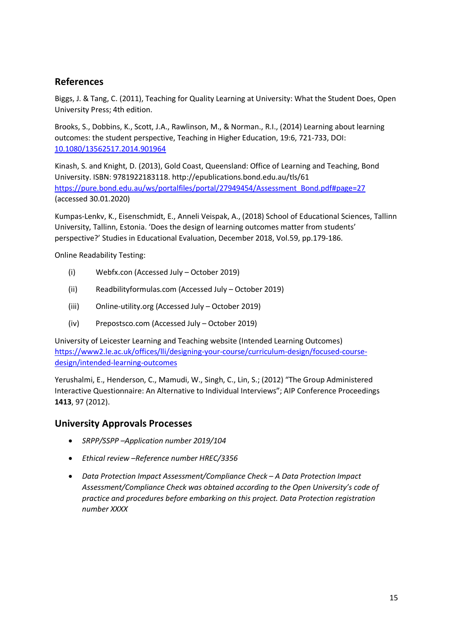# **References**

Biggs, J. & Tang, C. (2011), Teaching for Quality Learning at University: What the Student Does, Open University Press; 4th edition.

Brooks, S., Dobbins, K., Scott, J.A., Rawlinson, M., & Norman., R.I., (2014) Learning about learning outcomes: the student perspective, Teaching in Higher Education, 19:6, 721-733, DOI: [10.1080/13562517.2014.901964](https://doi.org/10.1080/13562517.2014.901964)

Kinash, S. and Knight, D. (2013), Gold Coast, Queensland: Office of Learning and Teaching, Bond University. ISBN: 9781922183118. http://epublications.bond.edu.au/tls/61 [https://pure.bond.edu.au/ws/portalfiles/portal/27949454/Assessment\\_Bond.pdf#page=27](https://pure.bond.edu.au/ws/portalfiles/portal/27949454/Assessment_Bond.pdf#page=27) (accessed 30.01.2020)

Kumpas-Lenkv, K., Eisenschmidt, E., Anneli Veispak, A., (2018) School of Educational Sciences, Tallinn University, Tallinn, Estonia. 'Does the design of learning outcomes matter from students' perspective?' Studies in Educational Evaluation, December 2018, Vol.59, pp.179-186.

Online Readability Testing:

- (i) Webfx.con (Accessed July October 2019)
- (ii) Readbilityformulas.com (Accessed July October 2019)
- (iii) Online-utility.org (Accessed July October 2019)
- (iv) Prepostsco.com (Accessed July October 2019)

University of Leicester Learning and Teaching website (Intended Learning Outcomes) [https://www2.le.ac.uk/offices/lli/designing-your-course/curriculum-design/focused-course](https://www2.le.ac.uk/offices/lli/designing-your-course/curriculum-design/focused-course-design/intended-learning-outcomes)[design/intended-learning-outcomes](https://www2.le.ac.uk/offices/lli/designing-your-course/curriculum-design/focused-course-design/intended-learning-outcomes)

Yerushalmi, E., Henderson, C., Mamudi, W., Singh, C., Lin, S.; (2012) "The Group Administered Interactive Questionnaire: An Alternative to Individual Interviews"; AIP Conference Proceedings **1413**, 97 (2012).

### **University Approvals Processes**

- *SRPP/SSPP –Application number 2019/104*
- *Ethical review –Reference number HREC/3356*
- *Data Protection Impact Assessment/Compliance Check – A Data Protection Impact Assessment/Compliance Check was obtained according to the Open University's code of practice and procedures before embarking on this project. Data Protection registration number XXXX*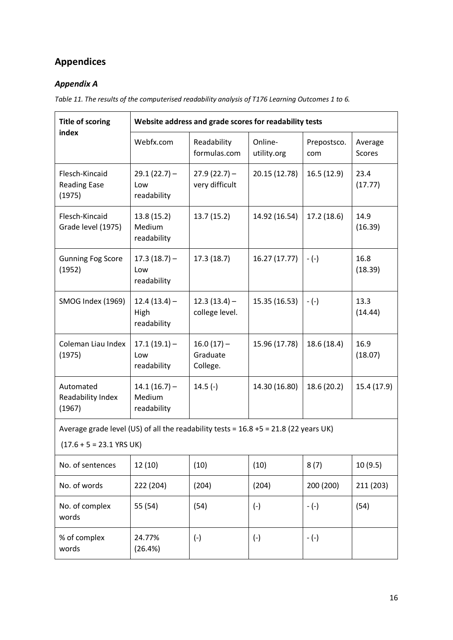# **Appendices**

# *Appendix A*

*Table 11. The results of the computerised readability analysis of T176 Learning Outcomes 1 to 6.*

| <b>Title of scoring</b>                                                                                               | Website address and grade scores for readability tests |                                      |                        |                    |                   |  |  |  |  |  |  |
|-----------------------------------------------------------------------------------------------------------------------|--------------------------------------------------------|--------------------------------------|------------------------|--------------------|-------------------|--|--|--|--|--|--|
| index                                                                                                                 | Webfx.com                                              | Readability<br>formulas.com          | Online-<br>utility.org | Prepostsco.<br>com | Average<br>Scores |  |  |  |  |  |  |
| Flesch-Kincaid<br><b>Reading Ease</b><br>(1975)                                                                       | $29.1(22.7) -$<br>Low<br>readability                   | $27.9(22.7)$ –<br>very difficult     | 20.15 (12.78)          | 16.5(12.9)         | 23.4<br>(17.77)   |  |  |  |  |  |  |
| Flesch-Kincaid<br>Grade level (1975)                                                                                  | 13.8 (15.2)<br>Medium<br>readability                   |                                      | 14.92 (16.54)          | 17.2(18.6)         | 14.9<br>(16.39)   |  |  |  |  |  |  |
| <b>Gunning Fog Score</b><br>(1952)                                                                                    | $17.3(18.7) -$<br>Low<br>readability                   | 17.3(18.7)                           | 16.27 (17.77)          | $-(-)$             | 16.8<br>(18.39)   |  |  |  |  |  |  |
| SMOG Index (1969)                                                                                                     | $12.4(13.4) -$<br>High<br>readability                  | $12.3(13.4) -$<br>college level.     | 15.35 (16.53)          | $-(-)$             | 13.3<br>(14.44)   |  |  |  |  |  |  |
| Coleman Liau Index<br>(1975)                                                                                          | $17.1(19.1) -$<br>Low<br>readability                   | $16.0(17) -$<br>Graduate<br>College. | 15.96 (17.78)          | 18.6 (18.4)        | 16.9<br>(18.07)   |  |  |  |  |  |  |
| Automated<br>Readability Index<br>(1967)                                                                              | $14.1(16.7) -$<br>Medium<br>readability                | $14.5(-)$                            | 14.30 (16.80)          | 18.6 (20.2)        | 15.4 (17.9)       |  |  |  |  |  |  |
| Average grade level (US) of all the readability tests = $16.8 + 5 = 21.8$ (22 years UK)<br>$(17.6 + 5 = 23.1$ YRS UK) |                                                        |                                      |                        |                    |                   |  |  |  |  |  |  |
| No. of sentences                                                                                                      | 12(10)                                                 | (10)                                 | (10)                   | 8(7)               | 10(9.5)           |  |  |  |  |  |  |
| No. of words                                                                                                          | 222 (204)                                              | (204)                                | (204)                  | 200 (200)          | 211 (203)         |  |  |  |  |  |  |
| No. of complex<br>words                                                                                               | 55 (54)                                                | (54)                                 | $(-)$                  | $-(-)$             | (54)              |  |  |  |  |  |  |
| % of complex<br>words                                                                                                 | 24.77%<br>(26.4%)                                      | $(-)$                                | $(-)$                  | $-(-)$             |                   |  |  |  |  |  |  |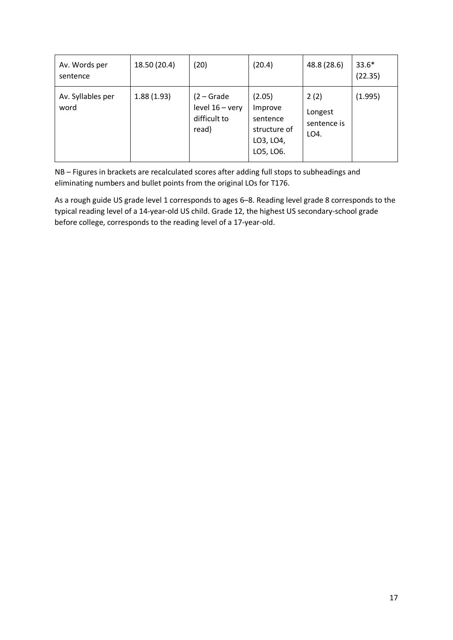| Av. Words per<br>sentence | 18.50 (20.4) | (20)                                                     | (20.4)                                                                  | 48.8 (28.6)                            | $33.6*$<br>(22.35) |
|---------------------------|--------------|----------------------------------------------------------|-------------------------------------------------------------------------|----------------------------------------|--------------------|
| Av. Syllables per<br>word | 1.88(1.93)   | $(2 - Grade$<br>level 16 - very<br>difficult to<br>read) | (2.05)<br>Improve<br>sentence<br>structure of<br>LO3, LO4,<br>LO5, LO6. | 2(2)<br>Longest<br>sentence is<br>LO4. | (1.995)            |

NB – Figures in brackets are recalculated scores after adding full stops to subheadings and eliminating numbers and bullet points from the original LOs for T176.

As a rough guide US grade level 1 corresponds to ages 6–8. Reading level grade 8 corresponds to the typical reading level of a 14-year-old US child. Grade 12, the highest US secondary-school grade before college, corresponds to the reading level of a 17-year-old.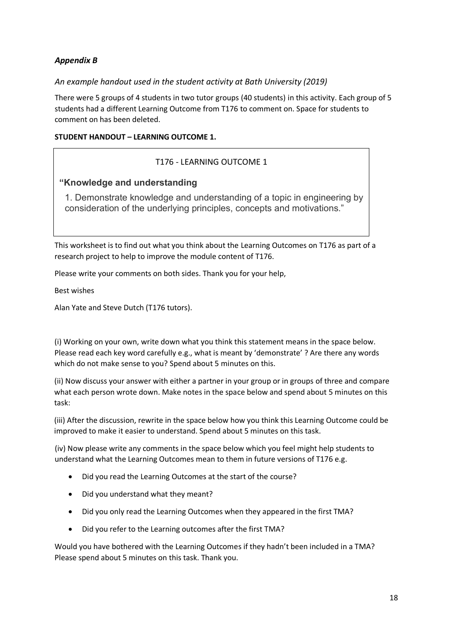### *Appendix B*

### *An example handout used in the student activity at Bath University (2019)*

There were 5 groups of 4 students in two tutor groups (40 students) in this activity. Each group of 5 students had a different Learning Outcome from T176 to comment on. Space for students to comment on has been deleted.

#### **STUDENT HANDOUT – LEARNING OUTCOME 1.**

### T176 - LEARNING OUTCOME 1

### **"Knowledge and understanding**

1. Demonstrate knowledge and understanding of a topic in engineering by consideration of the underlying principles, concepts and motivations."

This worksheet is to find out what you think about the Learning Outcomes on T176 as part of a research project to help to improve the module content of T176.

Please write your comments on both sides. Thank you for your help,

Best wishes

Alan Yate and Steve Dutch (T176 tutors).

(i) Working on your own, write down what you think this statement means in the space below. Please read each key word carefully e.g., what is meant by 'demonstrate' ? Are there any words which do not make sense to you? Spend about 5 minutes on this.

(ii) Now discuss your answer with either a partner in your group or in groups of three and compare what each person wrote down. Make notes in the space below and spend about 5 minutes on this task:

(iii) After the discussion, rewrite in the space below how you think this Learning Outcome could be improved to make it easier to understand. Spend about 5 minutes on this task.

(iv) Now please write any comments in the space below which you feel might help students to understand what the Learning Outcomes mean to them in future versions of T176 e.g.

- Did you read the Learning Outcomes at the start of the course?
- Did you understand what they meant?
- Did you only read the Learning Outcomes when they appeared in the first TMA?
- Did you refer to the Learning outcomes after the first TMA?

Would you have bothered with the Learning Outcomes if they hadn't been included in a TMA? Please spend about 5 minutes on this task. Thank you.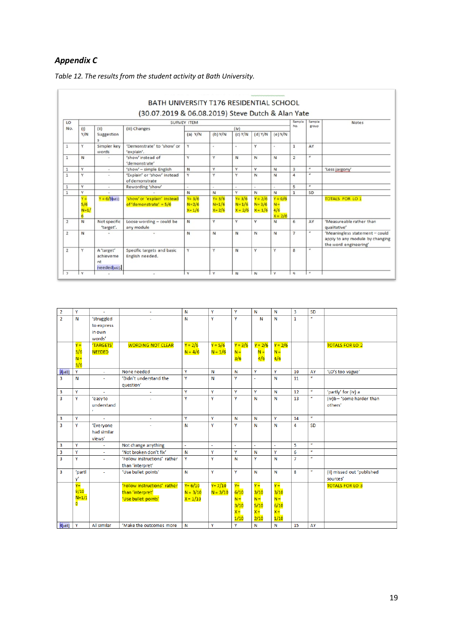### *Appendix C*

|                |                             |                                               | (30.07.2019 & 06.08.2019) Steve Dutch & Alan Yate       |                                     |                                   |                                     |                                     |                                        |                         |                         |                                                                                            |
|----------------|-----------------------------|-----------------------------------------------|---------------------------------------------------------|-------------------------------------|-----------------------------------|-------------------------------------|-------------------------------------|----------------------------------------|-------------------------|-------------------------|--------------------------------------------------------------------------------------------|
| LO             |                             |                                               | <b>SURVEY ITEM</b>                                      | Sample<br>No.                       | Sample<br>group                   | <b>Notes</b>                        |                                     |                                        |                         |                         |                                                                                            |
| No.            | (i)<br>Y/N                  | (ii)<br>Suggestion<br>$\overline{\mathsf{s}}$ | (iii) Changes                                           | (a) $Y/N$                           | $(b)$ Y/N                         | (iv)<br>$(c)$ Y/N                   | (d) Y/N                             | $(e)$ Y/N                              |                         |                         |                                                                                            |
| $\mathbf{1}$   | Y                           | Simpler key<br>words                          | 'Demonstrate' to 'show' or<br>'explain'.                | Y                                   | $\alpha$                          | $\alpha$                            | Y                                   | $\sim$                                 | $\mathbf{1}$            | AY                      |                                                                                            |
| $\mathbf{1}$   | N                           |                                               | 'show' instead of<br>'demonstrate'                      | Y                                   | Y                                 | $\mathbb{N}$                        | N                                   | N                                      | $\overline{2}$          | $\overline{u}$          |                                                                                            |
| $\mathbf{1}$   | v                           | $\sim$                                        | 'show' - simple English                                 | $\mathbf N$                         | Y                                 | v                                   | Y                                   | N                                      | $\overline{\mathbf{3}}$ | $\boldsymbol{u}$        | 'Less jargony'                                                                             |
| $\mathbf{1}$   | Ÿ                           | ä,                                            | 'Explain' or 'show' instead<br>of demonstrate           | Y                                   | Y                                 | Y                                   | N                                   | $\mathsf{N}$                           | $\overline{a}$          | $\overline{u}$          |                                                                                            |
| $\mathbf 1$    | v                           | $\sim$                                        | Rewording 'show'                                        | $\overline{a}$                      | $\sim$                            | $\sim$                              | $\sim$                              | $\sim$                                 | 5                       | u                       |                                                                                            |
| $\mathbf{1}$   | v                           |                                               |                                                         | $\mathbb{N}$                        | N                                 | Y                                   | N                                   | $\mathbb{N}$                           | $\mathbf{1}$            | SD                      |                                                                                            |
|                | $Y =$<br>5/6<br>$N=1/$<br>6 | $Y = 6/[6]$ sd1]                              | 'show' or 'explain' instead<br>of 'demonstrate' = $5/6$ | $Y = 3/6$<br>$N = 2/6$<br>$X = 1/6$ | $Y = 3/6$<br>$N=1/6$<br>$X = 2/6$ | $Y = 3/6$<br>$N = 1/6$<br>$X = 2/6$ | $Y = 2/6$<br>$N = 3/6$<br>$X = 1/6$ | $Y = 0/6$<br>$N =$<br>4/6<br>$X = 2/6$ |                         |                         | <b>TOTALS FOR LO 1</b>                                                                     |
| $\overline{2}$ | N                           | Not specific<br>'target'.                     | Loose wording - could be<br>any module                  | $\mathsf{N}$                        | Y                                 | ٧                                   | v                                   | $\mathbb{N}$                           | 6                       | AY                      | 'Measureable rather than<br>qualitative'                                                   |
| $\overline{2}$ | N                           |                                               |                                                         | $\mathsf{N}$                        | N                                 | N                                   | N                                   | N                                      | $\overline{7}$          | $\boldsymbol{\mu}$      | 'Meaningless statement - could<br>apply to any module by changing<br>the word engineering' |
| $\overline{2}$ | Y                           | A 'target'<br>achieveme<br>nt<br>needed sd2). | Specific targets and basic<br>English needed.           | Y                                   | Y                                 | N                                   | ٧                                   | Y                                      | 8                       | $\boldsymbol{u}$        |                                                                                            |
| $\overline{ }$ | $\checkmark$                |                                               |                                                         | $\vee$                              | v                                 | N                                   | N                                   | $\vee$                                 | $\alpha$                | $\overline{\mathbf{a}}$ |                                                                                            |

*Table 12. The results from the student activity at Bath University.*

| 2                       | Ÿ       |                |                              | N          | Y            | Υ         | N         | N            | 3              | SD               |                            |
|-------------------------|---------|----------------|------------------------------|------------|--------------|-----------|-----------|--------------|----------------|------------------|----------------------------|
| $\overline{2}$          | N       | 'struggled     |                              | N          | Ÿ            | Y         | N         | N            | $\mathbf{1}$   | $\alpha$         |                            |
|                         |         | to express     |                              |            |              |           |           |              |                |                  |                            |
|                         |         | in own         |                              |            |              |           |           |              |                |                  |                            |
|                         |         | words'         |                              |            |              |           |           |              |                |                  |                            |
|                         | $Y =$   | 'TARGETS'      | <b>WORDING NOT CLEAR</b>     | $Y = 2/6$  | $Y = 5/6$    | $Y = 3/6$ | $Y = 2/6$ | $Y = 2/6$    |                |                  | <b>TOTALS FOR LO 2</b>     |
|                         | 3/6     | <b>NEEDED</b>  |                              | $N = 4/6$  | $N = 1/6$    | $N =$     | $N =$     | $N =$        |                |                  |                            |
|                         | $N =$   |                |                              |            |              | 3/6       | 4/6       | 4/6          |                |                  |                            |
|                         | 3/6     |                |                              |            |              |           |           |              |                |                  |                            |
| $3$ [sd3]               | Y       | $\blacksquare$ | None needed                  | Y          | $\mathsf{N}$ | N         | Y         | Y            | 10             | AY               | 'LO's too vague'           |
| 3                       | N       | ÷.             | 'Didn't understand the       | Y          | N            | Y         | L.        | N            | 11             | $\alpha$         |                            |
|                         |         |                | question'                    |            |              |           |           |              |                |                  |                            |
| 3                       | Y       | ÷,             | ÷                            | Y          | Y            | Y         | Y         | Ν            | 12             | $\boldsymbol{u}$ | 'partly' for (iv) a        |
| $\overline{3}$          | Y       | 'easy to       |                              | Y          | Y            | Y         | N         | N            | 13             | $\boldsymbol{u}$ | (iv)b-'some harder than    |
|                         |         | understand     |                              |            |              |           |           |              |                |                  | others'                    |
|                         |         | $\lambda$      |                              |            |              |           |           |              |                |                  |                            |
| 3                       | Y       |                | ×.                           | Ÿ          | Y            | N         | N         | Y            | 14             | $\overline{u}$   |                            |
| $\overline{\mathbf{3}}$ | Y       | 'Everyone      | ÷.                           | N          | Y            | Y         | N         | N            | 4              | <b>SD</b>        |                            |
|                         |         | had similar    |                              |            |              |           |           |              |                |                  |                            |
|                         |         | views'         |                              |            |              |           |           |              |                |                  |                            |
| 3                       | Y       | ÷              | Not change anything          | ä,         | ÷.           | ä,        | ä,        | $\mathbf{r}$ | 5              | $\boldsymbol{u}$ |                            |
| 3                       | Ÿ       | ÷.             | 'Not broken don't fix'       | N          | Y            | Y         | N         | Y            | 6              | $\alpha$         |                            |
| 3                       | Ÿ       | ÷.             | 'Follow instructions' rather | Y          | Ÿ            | N         | Y         | N            | $\overline{7}$ | $\boldsymbol{u}$ |                            |
|                         |         |                | than 'interpret'             |            |              |           |           |              |                |                  |                            |
| 3                       | 'partl  | ٠              | 'Use bullet points'          | N          | Y            | Y         | N         | N            | 8              | $\boldsymbol{u}$ | (ii) missed out 'published |
|                         | v       |                |                              |            |              |           |           |              |                |                  | sources'                   |
|                         | YΞ      |                | 'Follow instructions' rather | $Y = 6/10$ | $Y = 7/10$   | $Y =$     | $Y =$     | $Y =$        |                |                  | <b>TOTALS FOR LO 3</b>     |
|                         | 9/10    |                | than 'interpret'             | $N = 3/10$ | $N = 3/10$   | 6/10      | 3/10      | 3/10         |                |                  |                            |
|                         | $N=1/1$ |                | 'Use bullet points'          | $X = 1/10$ |              | $N =$     | $N =$     | $N =$        |                |                  |                            |
|                         | ō       |                |                              |            |              | 3/10      | 5/10      | 6/10         |                |                  |                            |
|                         |         |                |                              |            |              | $X =$     | $X =$     | $X =$        |                |                  |                            |
|                         |         |                |                              |            |              | 1/10      | 2/10      | 1/10         |                |                  |                            |
| $4$ [sd4]               | Y       | All similar    | 'Make the outcomes more      | N          | Y            | Y         | N         | N            | 15             | AY               |                            |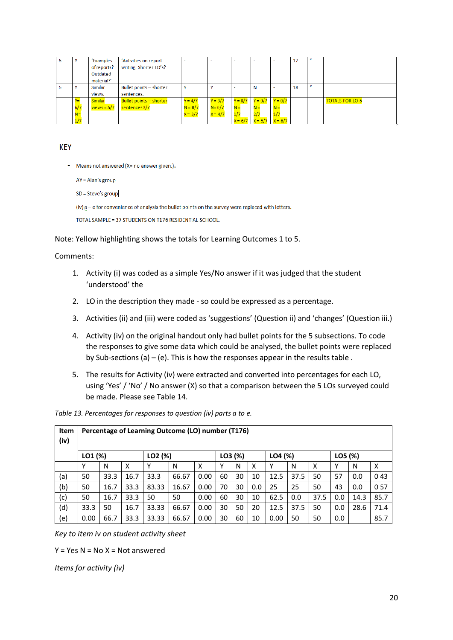| v     | 'Examples     | 'Activities on report   | -         | $\overline{\phantom{0}}$ |           |                               | ۰         | 17 | $\overline{u}$ |                        |
|-------|---------------|-------------------------|-----------|--------------------------|-----------|-------------------------------|-----------|----|----------------|------------------------|
|       | of reports?   | writing. Shorter LO's?  |           |                          |           |                               |           |    |                |                        |
|       | Outdated      |                         |           |                          |           |                               |           |    |                |                        |
|       | material?'    |                         |           |                          |           |                               |           |    |                |                        |
| v     | Similar       | Bullet points - shorter | Υ         |                          |           | N                             | $\sim$    | 18 | $\overline{u}$ |                        |
|       | views.        | sentences.              |           |                          |           |                               |           |    |                |                        |
| $Y =$ | Similar       | Bullet points - shorter | $Y = 4/7$ | $Y = 3/7$                | $Y = 0/7$ | $Y = 0/7$                     | $Y = 0/7$ |    |                | <b>TOTALS FOR LO 5</b> |
| 6/7   | $views = 5/7$ | sentences 3/7           | $N = 0/7$ | $N = 0/7$                | $N =$     | $N =$                         | $N =$     |    |                |                        |
| $N =$ |               |                         | $X = 3/7$ | $X = 4/7$                | 1/7       |                               | 1/7       |    |                |                        |
| 1/7   |               |                         |           |                          |           | $X = 6/7$ $X = 5/7$ $X = 6/7$ |           |    |                |                        |

#### **KEY**

- Means not answered (X= no answer given.).

 $AY = Alan's group$ 

SD = Steve's group

 $(iv)$  a – e for convenience of analysis the bullet points on the survey were replaced with letters.

TOTAL SAMPLE = 37 STUDENTS ON T176 RESIDENTIAL SCHOOL.

Note: Yellow highlighting shows the totals for Learning Outcomes 1 to 5.

#### Comments:

- 1. Activity (i) was coded as a simple Yes/No answer if it was judged that the student 'understood' the
- 2. LO in the description they made so could be expressed as a percentage.
- 3. Activities (ii) and (iii) were coded as 'suggestions' (Question ii) and 'changes' (Question iii.)
- 4. Activity (iv) on the original handout only had bullet points for the 5 subsections. To code the responses to give some data which could be analysed, the bullet points were replaced by Sub-sections (a) – (e). This is how the responses appear in the results table .
- 5. The results for Activity (iv) were extracted and converted into percentages for each LO, using 'Yes' / 'No' / No answer (X) so that a comparison between the 5 LOs surveyed could be made. Please see Table 14.

*Table 13. Percentages for responses to question (iv) parts a to e.*

| <b>Item</b><br>(iv) | Percentage of Learning Outcome (LO) number (T176) |      |      |         |       |      |         |    |     |         |      |      |         |      |      |
|---------------------|---------------------------------------------------|------|------|---------|-------|------|---------|----|-----|---------|------|------|---------|------|------|
|                     | LO1 (%)                                           |      |      | LO2 (%) |       |      | LO3 (%) |    |     | LO4 (%) |      |      | LO5 (%) |      |      |
|                     | Υ                                                 | N    | X    | v       | N     | X    | γ       | N  | x   | v       | N    | x    | Υ       | N    | X    |
| (a)                 | 50                                                | 33.3 | 16.7 | 33.3    | 66.67 | 0.00 | 60      | 30 | 10  | 12.5    | 37.5 | 50   | 57      | 0.0  | 043  |
| (b)                 | 50                                                | 16.7 | 33.3 | 83.33   | 16.67 | 0.00 | 70      | 30 | 0.0 | 25      | 25   | 50   | 43      | 0.0  | 057  |
| (c)                 | 50                                                | 16.7 | 33.3 | 50      | 50    | 0.00 | 60      | 30 | 10  | 62.5    | 0.0  | 37.5 | 0.0     | 14.3 | 85.7 |
| (d)                 | 33.3                                              | 50   | 16.7 | 33.33   | 66.67 | 0.00 | 30      | 50 | 20  | 12.5    | 37.5 | 50   | 0.0     | 28.6 | 71.4 |
| (e)                 | 0.00                                              | 66.7 | 33.3 | 33.33   | 66.67 | 0.00 | 30      | 60 | 10  | 0.00    | 50   | 50   | 0.0     |      | 85.7 |

*Key to item iv on student activity sheet*

 $Y = Yes \tN = No \tX = Not answered$ 

*Items for activity (iv)*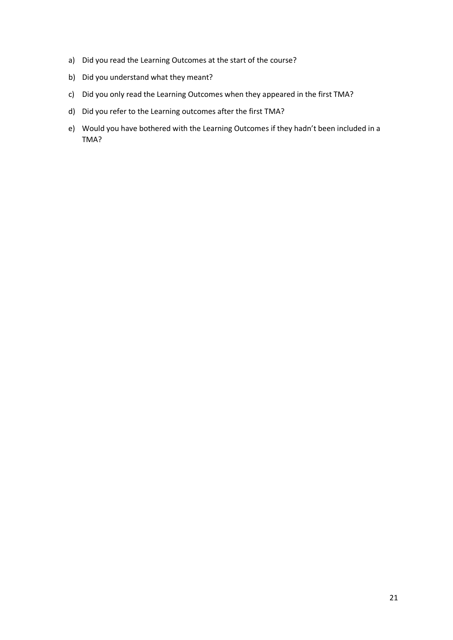- a) Did you read the Learning Outcomes at the start of the course?
- b) Did you understand what they meant?
- c) Did you only read the Learning Outcomes when they appeared in the first TMA?
- d) Did you refer to the Learning outcomes after the first TMA?
- e) Would you have bothered with the Learning Outcomes if they hadn't been included in a TMA?